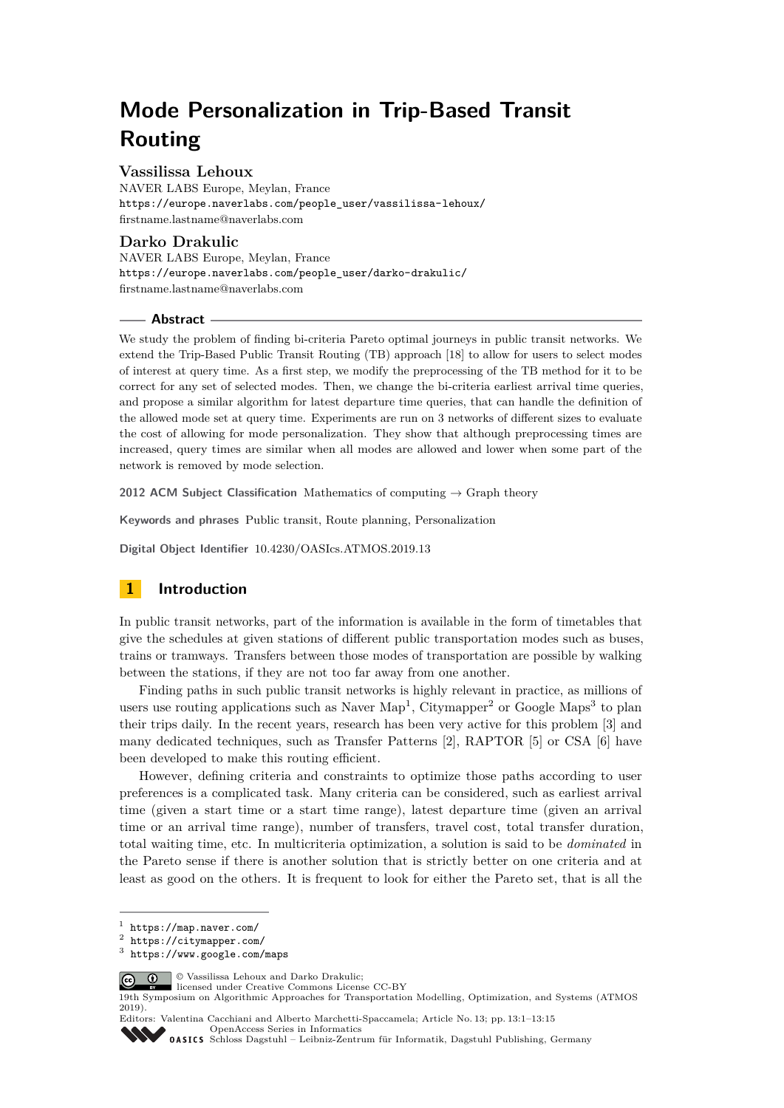# **Mode Personalization in Trip-Based Transit Routing**

## **Vassilissa Lehoux**

NAVER LABS Europe, Meylan, France [https://europe.naverlabs.com/people\\_user/vassilissa-lehoux/](https://europe.naverlabs.com/people_user/vassilissa-lehoux/) [firstname.lastname@naverlabs.com](mailto:firstname.lastname@naverlabs.com)

## **Darko Drakulic**

NAVER LABS Europe, Meylan, France [https://europe.naverlabs.com/people\\_user/darko-drakulic/](https://europe.naverlabs.com/people_user/darko-drakulic/) [firstname.lastname@naverlabs.com](mailto:firstname.lastname@naverlabs.com)

#### **Abstract**

We study the problem of finding bi-criteria Pareto optimal journeys in public transit networks. We extend the Trip-Based Public Transit Routing (TB) approach [\[18\]](#page-13-0) to allow for users to select modes of interest at query time. As a first step, we modify the preprocessing of the TB method for it to be correct for any set of selected modes. Then, we change the bi-criteria earliest arrival time queries, and propose a similar algorithm for latest departure time queries, that can handle the definition of the allowed mode set at query time. Experiments are run on 3 networks of different sizes to evaluate the cost of allowing for mode personalization. They show that although preprocessing times are increased, query times are similar when all modes are allowed and lower when some part of the network is removed by mode selection.

**2012 ACM Subject Classification** Mathematics of computing → Graph theory

**Keywords and phrases** Public transit, Route planning, Personalization

**Digital Object Identifier** [10.4230/OASIcs.ATMOS.2019.13](https://doi.org/10.4230/OASIcs.ATMOS.2019.13)

# **1 Introduction**

In public transit networks, part of the information is available in the form of timetables that give the schedules at given stations of different public transportation modes such as buses, trains or tramways. Transfers between those modes of transportation are possible by walking between the stations, if they are not too far away from one another.

Finding paths in such public transit networks is highly relevant in practice, as millions of users use routing applications such as Naver Map<sup>[1](#page-0-0)</sup>, Citymapper<sup>[2](#page-0-1)</sup> or Google Maps<sup>[3](#page-0-2)</sup> to plan their trips daily. In the recent years, research has been very active for this problem [\[3\]](#page-12-0) and many dedicated techniques, such as Transfer Patterns [\[2\]](#page-12-1), RAPTOR [\[5\]](#page-12-2) or CSA [\[6\]](#page-12-3) have been developed to make this routing efficient.

However, defining criteria and constraints to optimize those paths according to user preferences is a complicated task. Many criteria can be considered, such as earliest arrival time (given a start time or a start time range), latest departure time (given an arrival time or an arrival time range), number of transfers, travel cost, total transfer duration, total waiting time, etc. In multicriteria optimization, a solution is said to be *dominated* in the Pareto sense if there is another solution that is strictly better on one criteria and at least as good on the others. It is frequent to look for either the Pareto set, that is all the

**C**  $\bullet$   $\bullet$  Vassilissa Lehoux and Darko Drakulic:

[Schloss Dagstuhl – Leibniz-Zentrum für Informatik, Dagstuhl Publishing, Germany](https://www.dagstuhl.de)

<span id="page-0-0"></span><sup>1</sup> <https://map.naver.com/>

<span id="page-0-1"></span> $\frac{2}{3}$  <https://citymapper.com/>

<span id="page-0-2"></span><https://www.google.com/maps>

licensed under Creative Commons License CC-BY

<sup>19</sup>th Symposium on Algorithmic Approaches for Transportation Modelling, Optimization, and Systems (ATMOS 2019).

Editors: Valentina Cacchiani and Alberto Marchetti-Spaccamela; Article No. 13; pp. 13:1–13[:15](#page-14-0) [OpenAccess Series in Informatics](https://www.dagstuhl.de/oasics/)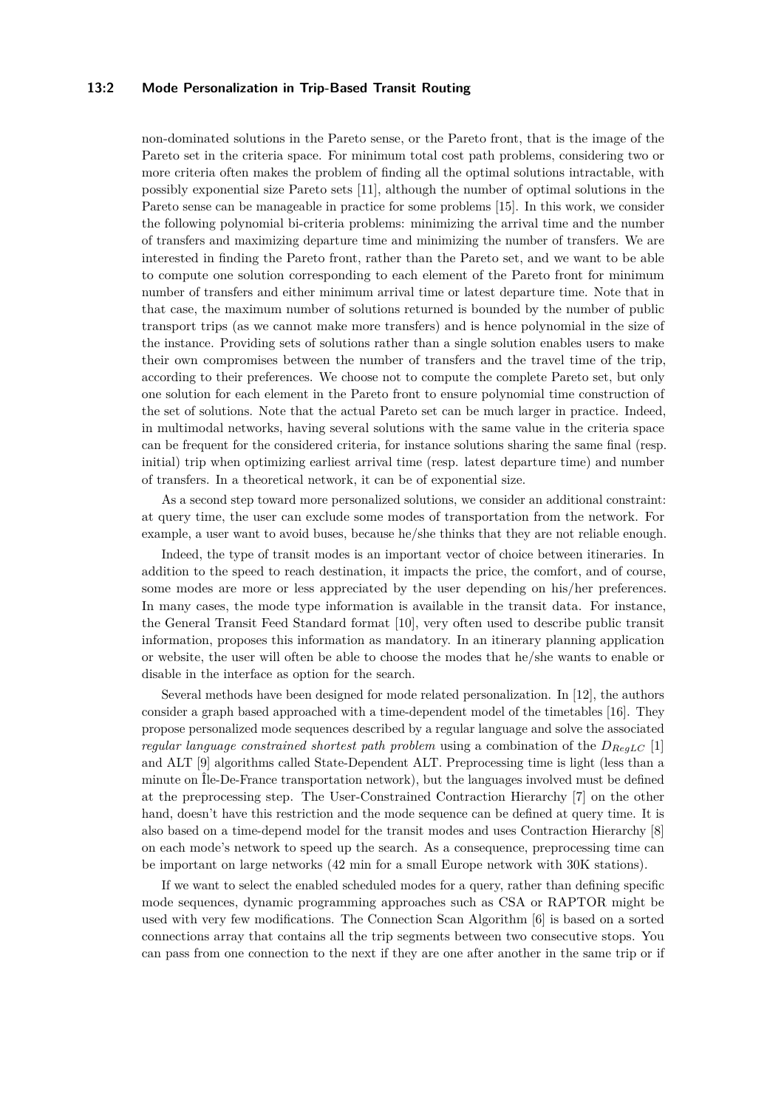### **13:2 Mode Personalization in Trip-Based Transit Routing**

non-dominated solutions in the Pareto sense, or the Pareto front, that is the image of the Pareto set in the criteria space. For minimum total cost path problems, considering two or more criteria often makes the problem of finding all the optimal solutions intractable, with possibly exponential size Pareto sets [\[11\]](#page-12-4), although the number of optimal solutions in the Pareto sense can be manageable in practice for some problems [\[15\]](#page-12-5). In this work, we consider the following polynomial bi-criteria problems: minimizing the arrival time and the number of transfers and maximizing departure time and minimizing the number of transfers. We are interested in finding the Pareto front, rather than the Pareto set, and we want to be able to compute one solution corresponding to each element of the Pareto front for minimum number of transfers and either minimum arrival time or latest departure time. Note that in that case, the maximum number of solutions returned is bounded by the number of public transport trips (as we cannot make more transfers) and is hence polynomial in the size of the instance. Providing sets of solutions rather than a single solution enables users to make their own compromises between the number of transfers and the travel time of the trip, according to their preferences. We choose not to compute the complete Pareto set, but only one solution for each element in the Pareto front to ensure polynomial time construction of the set of solutions. Note that the actual Pareto set can be much larger in practice. Indeed, in multimodal networks, having several solutions with the same value in the criteria space can be frequent for the considered criteria, for instance solutions sharing the same final (resp. initial) trip when optimizing earliest arrival time (resp. latest departure time) and number of transfers. In a theoretical network, it can be of exponential size.

As a second step toward more personalized solutions, we consider an additional constraint: at query time, the user can exclude some modes of transportation from the network. For example, a user want to avoid buses, because he/she thinks that they are not reliable enough.

Indeed, the type of transit modes is an important vector of choice between itineraries. In addition to the speed to reach destination, it impacts the price, the comfort, and of course, some modes are more or less appreciated by the user depending on his/her preferences. In many cases, the mode type information is available in the transit data. For instance, the General Transit Feed Standard format [\[10\]](#page-12-6), very often used to describe public transit information, proposes this information as mandatory. In an itinerary planning application or website, the user will often be able to choose the modes that he/she wants to enable or disable in the interface as option for the search.

Several methods have been designed for mode related personalization. In [\[12\]](#page-12-7), the authors consider a graph based approached with a time-dependent model of the timetables [\[16\]](#page-13-1). They propose personalized mode sequences described by a regular language and solve the associated *regular language constrained shortest path problem* using a combination of the *DRegLC* [\[1\]](#page-12-8) and ALT [\[9\]](#page-12-9) algorithms called State-Dependent ALT. Preprocessing time is light (less than a minute on Île-De-France transportation network), but the languages involved must be defined at the preprocessing step. The User-Constrained Contraction Hierarchy [\[7\]](#page-12-10) on the other hand, doesn't have this restriction and the mode sequence can be defined at query time. It is also based on a time-depend model for the transit modes and uses Contraction Hierarchy [\[8\]](#page-12-11) on each mode's network to speed up the search. As a consequence, preprocessing time can be important on large networks (42 min for a small Europe network with 30K stations).

If we want to select the enabled scheduled modes for a query, rather than defining specific mode sequences, dynamic programming approaches such as CSA or RAPTOR might be used with very few modifications. The Connection Scan Algorithm [\[6\]](#page-12-3) is based on a sorted connections array that contains all the trip segments between two consecutive stops. You can pass from one connection to the next if they are one after another in the same trip or if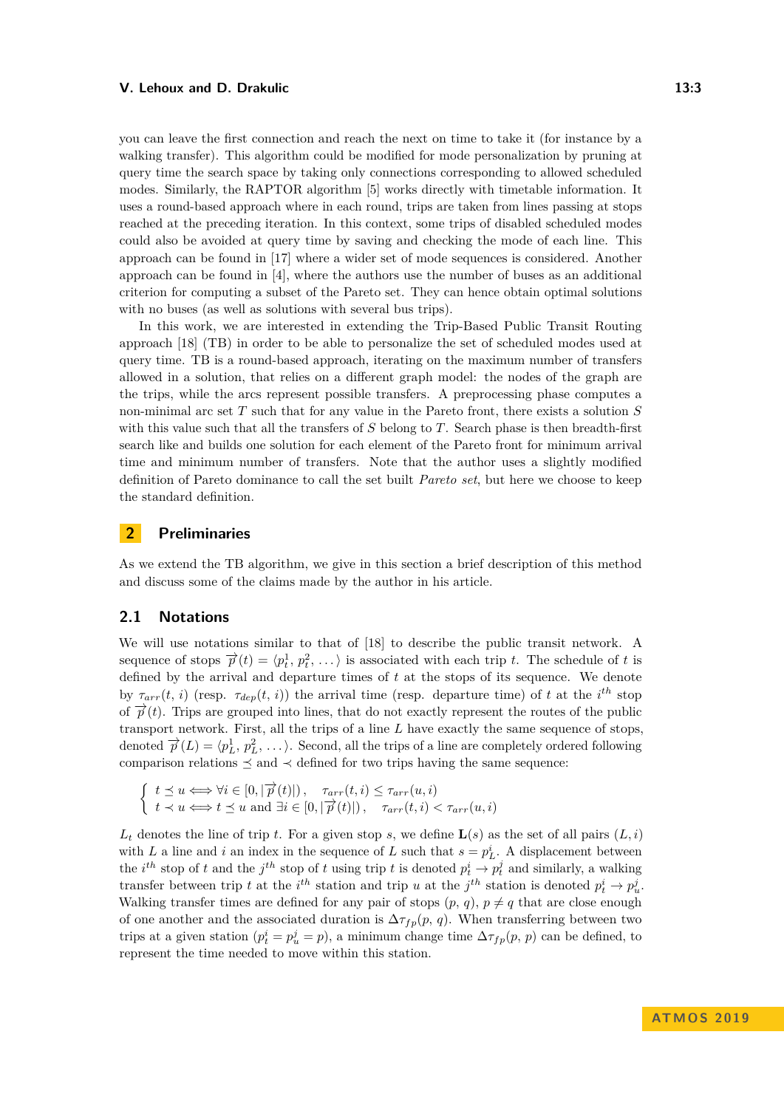you can leave the first connection and reach the next on time to take it (for instance by a walking transfer). This algorithm could be modified for mode personalization by pruning at query time the search space by taking only connections corresponding to allowed scheduled modes. Similarly, the RAPTOR algorithm [\[5\]](#page-12-2) works directly with timetable information. It uses a round-based approach where in each round, trips are taken from lines passing at stops reached at the preceding iteration. In this context, some trips of disabled scheduled modes could also be avoided at query time by saving and checking the mode of each line. This approach can be found in [\[17\]](#page-13-2) where a wider set of mode sequences is considered. Another approach can be found in [\[4\]](#page-12-12), where the authors use the number of buses as an additional criterion for computing a subset of the Pareto set. They can hence obtain optimal solutions with no buses (as well as solutions with several bus trips).

In this work, we are interested in extending the Trip-Based Public Transit Routing approach [\[18\]](#page-13-0) (TB) in order to be able to personalize the set of scheduled modes used at query time. TB is a round-based approach, iterating on the maximum number of transfers allowed in a solution, that relies on a different graph model: the nodes of the graph are the trips, while the arcs represent possible transfers. A preprocessing phase computes a non-minimal arc set *T* such that for any value in the Pareto front, there exists a solution *S* with this value such that all the transfers of *S* belong to *T*. Search phase is then breadth-first search like and builds one solution for each element of the Pareto front for minimum arrival time and minimum number of transfers. Note that the author uses a slightly modified definition of Pareto dominance to call the set built *Pareto set*, but here we choose to keep the standard definition.

# **2 Preliminaries**

As we extend the TB algorithm, we give in this section a brief description of this method and discuss some of the claims made by the author in his article.

## **2.1 Notations**

We will use notations similar to that of [\[18\]](#page-13-0) to describe the public transit network. A sequence of stops  $\overrightarrow{p}(t) = \langle p_t^1, p_t^2, \ldots \rangle$  is associated with each trip *t*. The schedule of *t* is defined by the arrival and departure times of *t* at the stops of its sequence. We denote by  $\tau_{arr}(t, i)$  (resp.  $\tau_{dep}(t, i)$ ) the arrival time (resp. departure time) of t at the *i*<sup>th</sup> stop of  $\vec{p}(t)$ . Trips are grouped into lines, that do not exactly represent the routes of the public transport network. First, all the trips of a line *L* have exactly the same sequence of stops, denoted  $\vec{p}(L) = \langle p_L^1, p_L^2, \ldots \rangle$ . Second, all the trips of a line are completely ordered following comparison relations  $\preceq$  and  $\prec$  defined for two trips having the same sequence:

$$
\begin{cases} t \preceq u \Longleftrightarrow \forall i \in [0, |\overrightarrow{p}(t)|), \quad \tau_{arr}(t, i) \leq \tau_{arr}(u, i) \\ t \prec u \Longleftrightarrow t \preceq u \text{ and } \exists i \in [0, |\overrightarrow{p}(t)|), \quad \tau_{arr}(t, i) < \tau_{arr}(u, i) \end{cases}
$$

 $L_t$  denotes the line of trip *t*. For a given stop *s*, we define  $\mathbf{L}(s)$  as the set of all pairs  $(L, i)$ with *L* a line and *i* an index in the sequence of *L* such that  $s = p<sub>L</sub><sup>i</sup>$ . A displacement between the *i*<sup>th</sup> stop of *t* and the *j*<sup>th</sup> stop of *t* using trip *t* is denoted  $p_t^i \rightarrow p_t^j$  and similarly, a walking transfer between trip *t* at the *i*<sup>th</sup> station and trip *u* at the *j*<sup>th</sup> station is denoted  $p_t^i \rightarrow p_u^j$ . Walking transfer times are defined for any pair of stops  $(p, q)$ ,  $p \neq q$  that are close enough of one another and the associated duration is  $\Delta \tau_{fp}(p, q)$ . When transferring between two trips at a given station  $(p_t^i = p_u^j = p)$ , a minimum change time  $\Delta \tau_{fp}(p, p)$  can be defined, to represent the time needed to move within this station.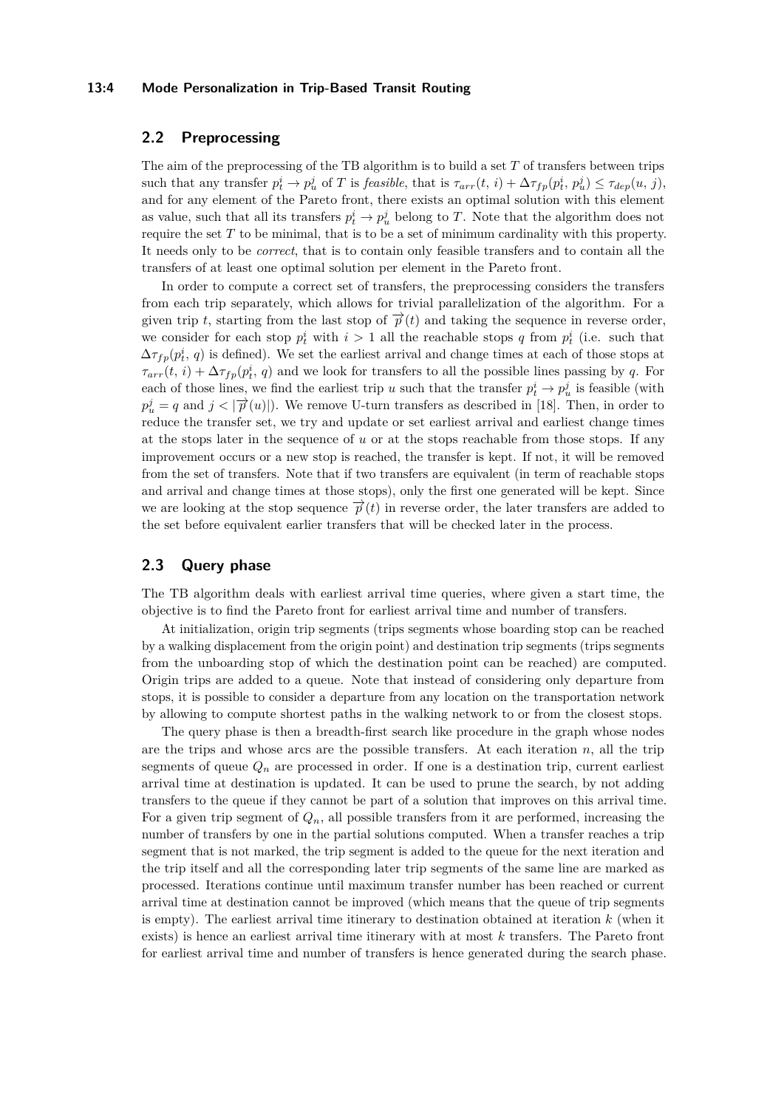#### **13:4 Mode Personalization in Trip-Based Transit Routing**

# **2.2 Preprocessing**

The aim of the preprocessing of the TB algorithm is to build a set *T* of transfers between trips such that any transfer  $p_t^i \to p_u^j$  of T is *feasible*, that is  $\tau_{arr}(t, i) + \Delta \tau_{fp}(p_t^i, p_u^j) \leq \tau_{dep}(u, j)$ , and for any element of the Pareto front, there exists an optimal solution with this element as value, such that all its transfers  $p_t^i \to p_u^j$  belong to *T*. Note that the algorithm does not require the set *T* to be minimal, that is to be a set of minimum cardinality with this property. It needs only to be *correct*, that is to contain only feasible transfers and to contain all the transfers of at least one optimal solution per element in the Pareto front.

In order to compute a correct set of transfers, the preprocessing considers the transfers from each trip separately, which allows for trivial parallelization of the algorithm. For a given trip *t*, starting from the last stop of  $\vec{p}(t)$  and taking the sequence in reverse order, we consider for each stop  $p_t^i$  with  $i > 1$  all the reachable stops *q* from  $p_t^i$  (i.e. such that  $\Delta \tau_{fp}(p_t^i, q)$  is defined). We set the earliest arrival and change times at each of those stops at  $\tau_{arr}(t, i) + \Delta \tau_{fp}(p_t^i, q)$  and we look for transfers to all the possible lines passing by *q*. For each of those lines, we find the earliest trip *u* such that the transfer  $p_t^i \to p_u^j$  is feasible (with  $p_u^j = q$  and  $j < |\vec{p}(u)|$ ). We remove U-turn transfers as described in [\[18\]](#page-13-0). Then, in order to reduce the transfer set, we try and update or set earliest arrival and earliest change times at the stops later in the sequence of *u* or at the stops reachable from those stops. If any improvement occurs or a new stop is reached, the transfer is kept. If not, it will be removed from the set of transfers. Note that if two transfers are equivalent (in term of reachable stops and arrival and change times at those stops), only the first one generated will be kept. Since we are looking at the stop sequence  $\vec{p}(t)$  in reverse order, the later transfers are added to the set before equivalent earlier transfers that will be checked later in the process.

## **2.3 Query phase**

The TB algorithm deals with earliest arrival time queries, where given a start time, the objective is to find the Pareto front for earliest arrival time and number of transfers.

At initialization, origin trip segments (trips segments whose boarding stop can be reached by a walking displacement from the origin point) and destination trip segments (trips segments from the unboarding stop of which the destination point can be reached) are computed. Origin trips are added to a queue. Note that instead of considering only departure from stops, it is possible to consider a departure from any location on the transportation network by allowing to compute shortest paths in the walking network to or from the closest stops.

The query phase is then a breadth-first search like procedure in the graph whose nodes are the trips and whose arcs are the possible transfers. At each iteration  $n$ , all the trip segments of queue  $Q_n$  are processed in order. If one is a destination trip, current earliest arrival time at destination is updated. It can be used to prune the search, by not adding transfers to the queue if they cannot be part of a solution that improves on this arrival time. For a given trip segment of  $Q_n$ , all possible transfers from it are performed, increasing the number of transfers by one in the partial solutions computed. When a transfer reaches a trip segment that is not marked, the trip segment is added to the queue for the next iteration and the trip itself and all the corresponding later trip segments of the same line are marked as processed. Iterations continue until maximum transfer number has been reached or current arrival time at destination cannot be improved (which means that the queue of trip segments is empty). The earliest arrival time itinerary to destination obtained at iteration *k* (when it exists) is hence an earliest arrival time itinerary with at most *k* transfers. The Pareto front for earliest arrival time and number of transfers is hence generated during the search phase.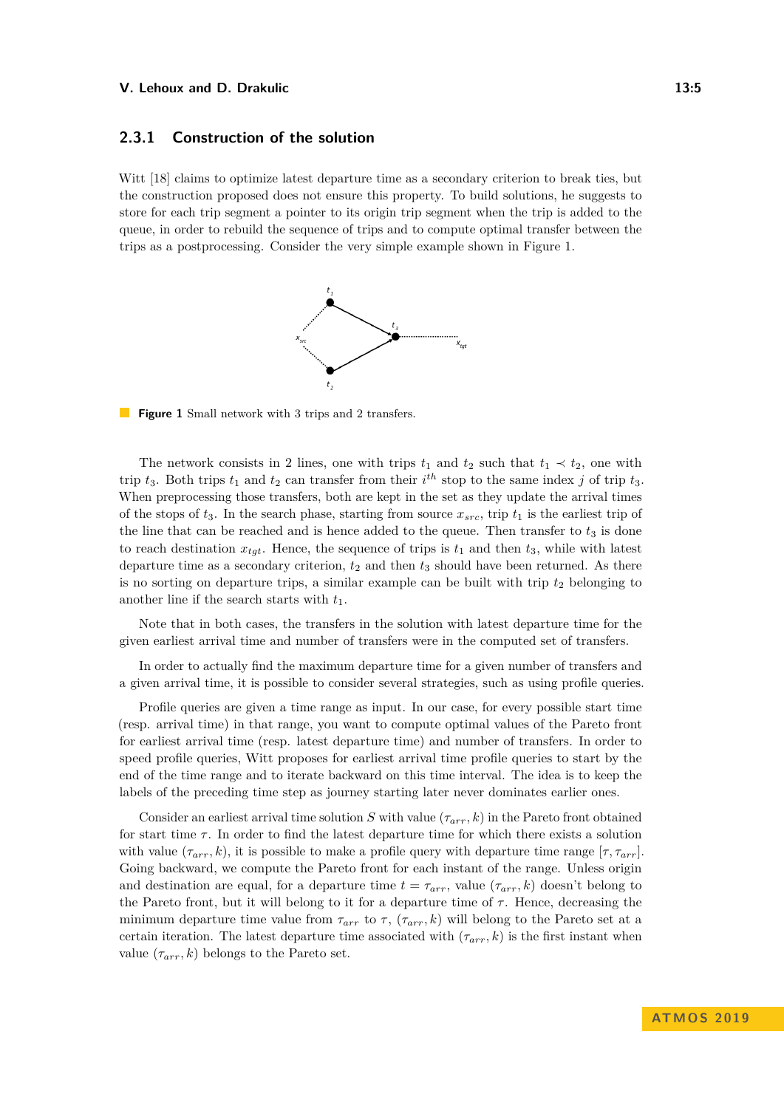## **2.3.1 Construction of the solution**

<span id="page-4-0"></span>Witt [\[18\]](#page-13-0) claims to optimize latest departure time as a secondary criterion to break ties, but the construction proposed does not ensure this property. To build solutions, he suggests to store for each trip segment a pointer to its origin trip segment when the trip is added to the queue, in order to rebuild the sequence of trips and to compute optimal transfer between the trips as a postprocessing. Consider the very simple example shown in Figure [1.](#page-4-0)



**Figure 1** Small network with 3 trips and 2 transfers.

The network consists in 2 lines, one with trips  $t_1$  and  $t_2$  such that  $t_1 \prec t_2$ , one with trip  $t_3$ . Both trips  $t_1$  and  $t_2$  can transfer from their  $i^{th}$  stop to the same index *j* of trip  $t_3$ . When preprocessing those transfers, both are kept in the set as they update the arrival times of the stops of  $t_3$ . In the search phase, starting from source  $x_{src}$ , trip  $t_1$  is the earliest trip of the line that can be reached and is hence added to the queue. Then transfer to  $t_3$  is done to reach destination  $x_{\text{tot}}$ . Hence, the sequence of trips is  $t_1$  and then  $t_3$ , while with latest departure time as a secondary criterion, *t*<sup>2</sup> and then *t*<sup>3</sup> should have been returned. As there is no sorting on departure trips, a similar example can be built with trip  $t_2$  belonging to another line if the search starts with *t*1.

Note that in both cases, the transfers in the solution with latest departure time for the given earliest arrival time and number of transfers were in the computed set of transfers.

In order to actually find the maximum departure time for a given number of transfers and a given arrival time, it is possible to consider several strategies, such as using profile queries.

Profile queries are given a time range as input. In our case, for every possible start time (resp. arrival time) in that range, you want to compute optimal values of the Pareto front for earliest arrival time (resp. latest departure time) and number of transfers. In order to speed profile queries, Witt proposes for earliest arrival time profile queries to start by the end of the time range and to iterate backward on this time interval. The idea is to keep the labels of the preceding time step as journey starting later never dominates earlier ones.

Consider an earliest arrival time solution *S* with value  $(\tau_{arr}, k)$  in the Pareto front obtained for start time *τ* . In order to find the latest departure time for which there exists a solution with value  $(\tau_{arr}, k)$ , it is possible to make a profile query with departure time range  $[\tau, \tau_{arr}]$ . Going backward, we compute the Pareto front for each instant of the range. Unless origin and destination are equal, for a departure time  $t = \tau_{arr}$ , value  $(\tau_{arr}, k)$  doesn't belong to the Pareto front, but it will belong to it for a departure time of  $\tau$ . Hence, decreasing the minimum departure time value from  $\tau_{arr}$  to  $\tau$ ,  $(\tau_{arr}, k)$  will belong to the Pareto set at a certain iteration. The latest departure time associated with (*τarr, k*) is the first instant when value  $(\tau_{arr}, k)$  belongs to the Pareto set.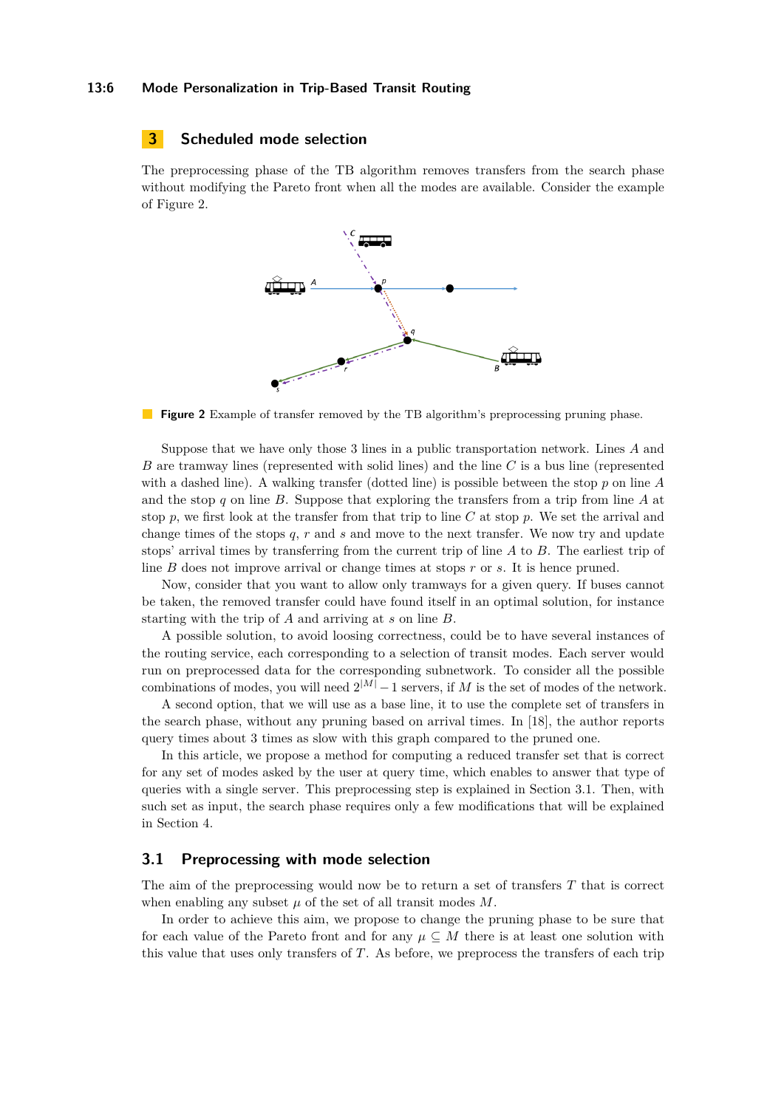#### **13:6 Mode Personalization in Trip-Based Transit Routing**

# **3 Scheduled mode selection**

<span id="page-5-0"></span>The preprocessing phase of the TB algorithm removes transfers from the search phase without modifying the Pareto front when all the modes are available. Consider the example of Figure [2.](#page-5-0)



**Figure 2** Example of transfer removed by the TB algorithm's preprocessing pruning phase.

Suppose that we have only those 3 lines in a public transportation network. Lines *A* and *B* are tramway lines (represented with solid lines) and the line *C* is a bus line (represented with a dashed line). A walking transfer (dotted line) is possible between the stop *p* on line *A* and the stop *q* on line *B*. Suppose that exploring the transfers from a trip from line *A* at stop *p*, we first look at the transfer from that trip to line *C* at stop *p*. We set the arrival and change times of the stops *q*, *r* and *s* and move to the next transfer. We now try and update stops' arrival times by transferring from the current trip of line *A* to *B*. The earliest trip of line *B* does not improve arrival or change times at stops *r* or *s*. It is hence pruned.

Now, consider that you want to allow only tramways for a given query. If buses cannot be taken, the removed transfer could have found itself in an optimal solution, for instance starting with the trip of *A* and arriving at *s* on line *B*.

A possible solution, to avoid loosing correctness, could be to have several instances of the routing service, each corresponding to a selection of transit modes. Each server would run on preprocessed data for the corresponding subnetwork. To consider all the possible combinations of modes, you will need  $2^{|M|} - 1$  servers, if M is the set of modes of the network.

A second option, that we will use as a base line, it to use the complete set of transfers in the search phase, without any pruning based on arrival times. In [\[18\]](#page-13-0), the author reports query times about 3 times as slow with this graph compared to the pruned one.

In this article, we propose a method for computing a reduced transfer set that is correct for any set of modes asked by the user at query time, which enables to answer that type of queries with a single server. This preprocessing step is explained in Section [3.1.](#page-5-1) Then, with such set as input, the search phase requires only a few modifications that will be explained in Section [4.](#page-8-0)

## <span id="page-5-1"></span>**3.1 Preprocessing with mode selection**

The aim of the preprocessing would now be to return a set of transfers *T* that is correct when enabling any subset  $\mu$  of the set of all transit modes  $M$ .

In order to achieve this aim, we propose to change the pruning phase to be sure that for each value of the Pareto front and for any  $\mu \subseteq M$  there is at least one solution with this value that uses only transfers of *T*. As before, we preprocess the transfers of each trip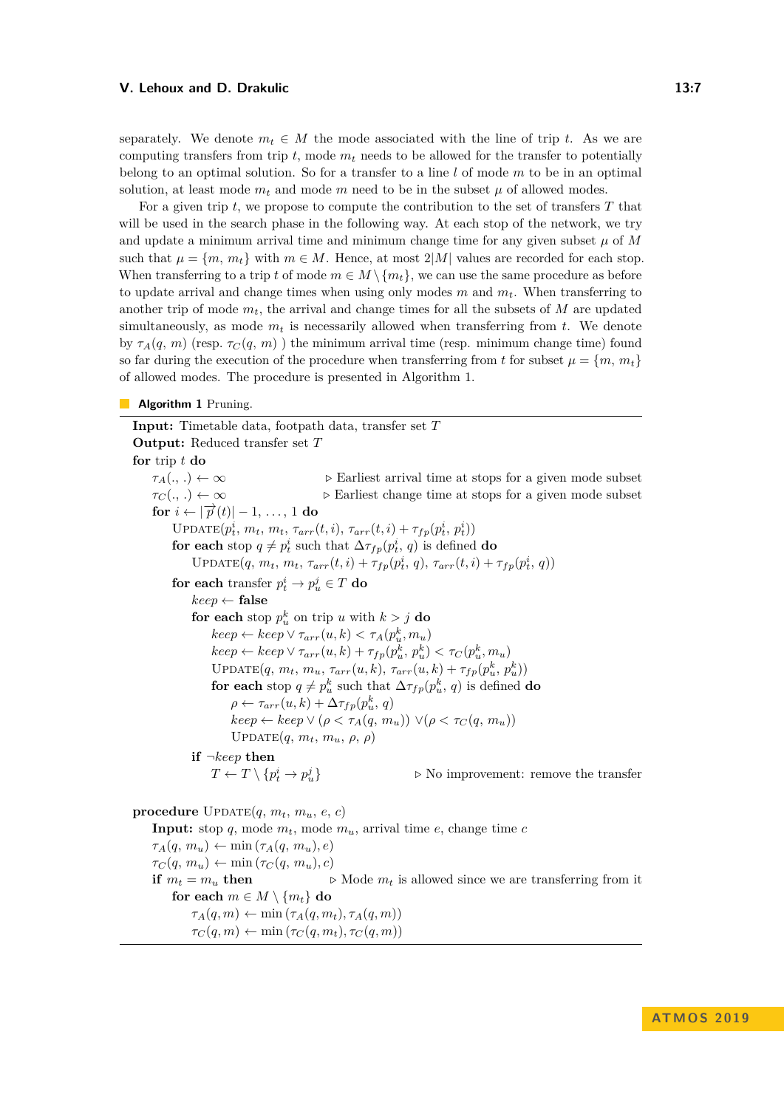separately. We denote  $m_t \in M$  the mode associated with the line of trip *t*. As we are computing transfers from trip  $t$ , mode  $m_t$  needs to be allowed for the transfer to potentially belong to an optimal solution. So for a transfer to a line *l* of mode *m* to be in an optimal solution, at least mode  $m_t$  and mode  $m$  need to be in the subset  $\mu$  of allowed modes.

For a given trip *t*, we propose to compute the contribution to the set of transfers *T* that will be used in the search phase in the following way. At each stop of the network, we try and update a minimum arrival time and minimum change time for any given subset  $\mu$  of  $M$ such that  $\mu = \{m, m_t\}$  with  $m \in M$ . Hence, at most  $2|M|$  values are recorded for each stop. When transferring to a trip *t* of mode  $m \in M \setminus \{m_t\}$ , we can use the same procedure as before to update arrival and change times when using only modes  $m$  and  $m_t$ . When transferring to another trip of mode *mt*, the arrival and change times for all the subsets of *M* are updated simultaneously, as mode  $m_t$  is necessarily allowed when transferring from  $t$ . We denote by  $\tau_A(q, m)$  (resp.  $\tau_C(q, m)$ ) the minimum arrival time (resp. minimum change time) found so far during the execution of the procedure when transferring from t for subset  $\mu = \{m, m_t\}$ of allowed modes. The procedure is presented in Algorithm [1.](#page-6-0)

#### <span id="page-6-0"></span>**Algorithm 1** Pruning.

<span id="page-6-1"></span>**Input:** Timetable data, footpath data, transfer set *T* **Output:** Reduced transfer set *T* **for** trip *t* **do**  $\tau_A(.,.) \leftarrow \infty$  **D** Earliest arrival time at stops for a given mode subset  $\tau_C(\cdot, \cdot) \leftarrow \infty$  **Detailler** Earliest change time at stops for a given mode subset **for**  $i \leftarrow |\overrightarrow{p}(t)| - 1, \ldots, 1$  **do**  $\text{UPDATE}(p_t^i, m_t, m_t, \tau_{arr}(t, i), \tau_{arr}(t, i) + \tau_{fp}(p_t^i, p_t^i))$ **for each** stop  $q \neq p_t^i$  such that  $\Delta \tau_{fp}(p_t^i, q)$  is defined **do** UPDATE $(q, m_t, m_t, \tau_{arr}(t, i) + \tau_{fp}(p_t^i, q), \tau_{arr}(t, i) + \tau_{fp}(p_t^i, q))$ for each transfer  $p_t^i \to p_u^j \in T$  do *keep* ← **false for each** stop  $p_u^k$  on trip *u* with  $k > j$  **do**  $keep \leftarrow keep \vee \tau_{arr}(u, k) < \tau_A(p_u^k, m_u)$  $keep \leftarrow keep \vee \tau_{arr}(u, k) + \tau_{fp}(p_u^k, p_u^k) < \tau_C(p_u^k, m_u)$  $\text{UPDATE}(q, m_t, m_u, \tau_{arr}(u, k), \tau_{arr}(u, k) + \tau_{fp}(p_u^k, p_u^k))$ **for each** stop  $q \neq p_u^k$  such that  $\Delta \tau_{fp}(p_u^k, q)$  is defined **do**  $\rho \leftarrow \tau_{arr}(u, k) + \Delta \tau_{fp}(p_u^k, q)$  $keep \leftarrow keep \vee (\rho < \tau_A(q, m_u)) \vee (\rho < \tau_C(q, m_u))$ Update(*q, mt, mu, ρ, ρ*) **if** ¬*keep* **then**  $T \leftarrow T \setminus \{p_t^i \rightarrow p_t^j\}$  $\triangleright$  No improvement: remove the transfer **procedure**  $\text{UPDATE}(q, m_t, m_u, e, c)$ **Input:** stop *q*, mode  $m_t$ , mode  $m_u$ , arrival time *e*, change time *c*  $\tau_A(q, m_u) \leftarrow \min(\tau_A(q, m_u), e)$  $\tau_C(q, m_u) \leftarrow \min(\tau_C(q, m_u), c)$ **if**  $m_t = m_u$  **then**  $\triangleright$  Mode  $m_t$  is allowed since we are transferring from it **for each**  $m \in M \setminus \{m_t\}$  **do**  $\tau_A(q,m) \leftarrow \min(\tau_A(q,m_t), \tau_A(q,m))$  $\tau_C(q,m) \leftarrow \min(\tau_C(q,m_t), \tau_C(q,m))$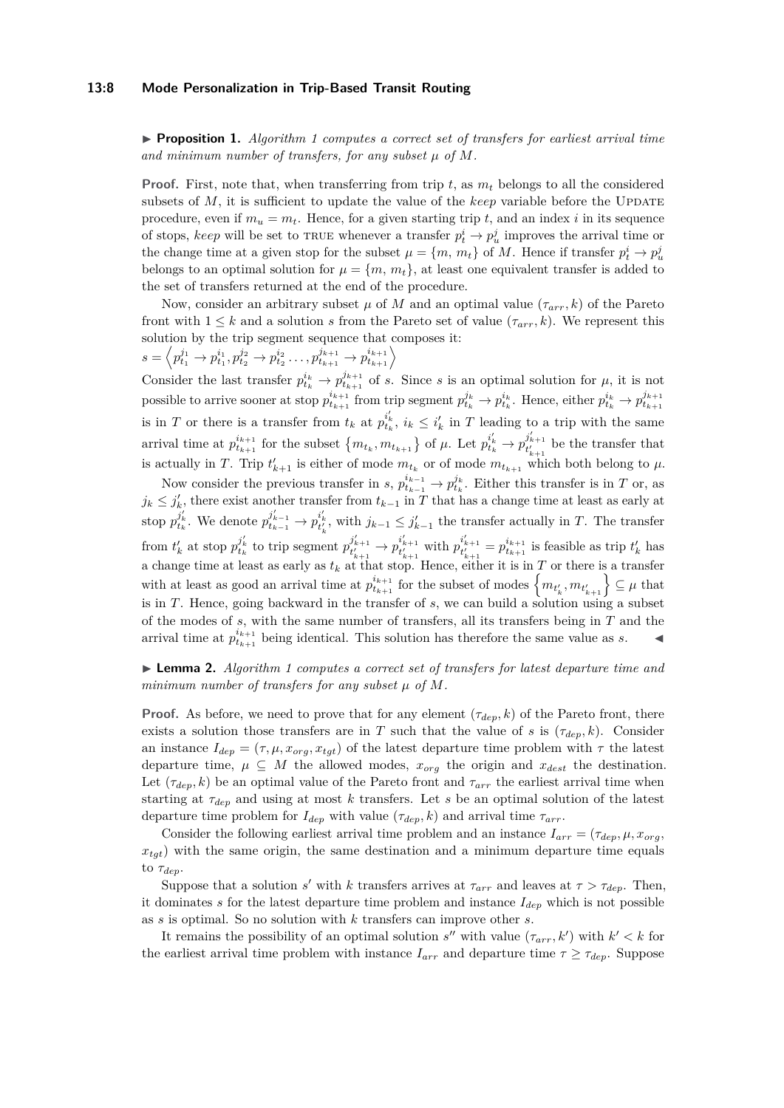#### **13:8 Mode Personalization in Trip-Based Transit Routing**

I **Proposition 1.** *Algorithm [1](#page-6-0) computes a correct set of transfers for earliest arrival time and minimum number of transfers, for any subset µ of M.*

**Proof.** First, note that, when transferring from trip  $t$ , as  $m_t$  belongs to all the considered subsets of  $M$ , it is sufficient to update the value of the *keep* variable before the UPDATE procedure, even if  $m_u = m_t$ . Hence, for a given starting trip t, and an index i in its sequence of stops, *keep* will be set to TRUE whenever a transfer  $p_t^i \to p_u^j$  improves the arrival time or the change time at a given stop for the subset  $\mu = \{m, m_t\}$  of *M*. Hence if transfer  $p_t^i \to p_u^j$ belongs to an optimal solution for  $\mu = \{m, m_t\}$ , at least one equivalent transfer is added to the set of transfers returned at the end of the procedure.

Now, consider an arbitrary subset  $\mu$  of  $M$  and an optimal value  $(\tau_{arr}, k)$  of the Pareto front with  $1 \leq k$  and a solution *s* from the Pareto set of value  $(\tau_{arr}, k)$ . We represent this solution by the trip segment sequence that composes it:

 $s = \left\langle p^{j_1}_{t_1} \rightarrow p^{i_1}_{t_1}, p^{j_2}_{t_2} \rightarrow p^{i_2}_{t_2} \dots, p^{j_{k+1}}_{t_{k+1}} \rightarrow p^{i_{k+1}}_{t_{k+1}} \right\rangle$ 

Consider the last transfer  $p_{t_k}^{i_k} \to p_{t_{k+1}}^{j_{k+1}}$  of *s*. Since *s* is an optimal solution for  $\mu$ , it is not possible to arrive sooner at stop  $p_{t_{k+1}}^{i_{k+1}}$  from trip segment  $p_{t_k}^{j_k} \to p_{t_k}^{i_k}$ . Hence, either  $p_{t_k}^{i_k} \to p_{t_{k+1}}^{j_{k+1}}$ is in *T* or there is a transfer from  $t_k$  at  $p_{t_k}^{i'_k}$ ,  $i_k \leq i'_k$  in *T* leading to a trip with the same arrival time at  $p_{t_{k+1}}^{i_{k+1}}$  for the subset  $\{m_{t_k}, m_{t_{k+1}}\}$  of  $\mu$ . Let  $p_{t_k}^{i'_{k}} \to p_{t'_{k+1}}^{j'_{k+1}}$  be the transfer that is actually in *T*. Trip  $t'_{k+1}$  is either of mode  $m_{t_k}$  or of mode  $m_{t_{k+1}}$  which both belong to  $\mu$ .

Now consider the previous transfer in *s*,  $p_{t_{k-1}}^{i_{k-1}} \to p_{t_k}^{j_k}$ . Either this transfer is in *T* or, as  $j_k \leq j'_k$ , there exist another transfer from  $t_{k-1}$  in *T* that has a change time at least as early at stop  $p_{t_k}^{j'_k}$ . We denote  $p_{t_{k-1}}^{j'_{k-1}} \to p_{t'_k}^{i'_k}$ , with  $j_{k-1} \leq j'_{k-1}$  the transfer actually in T. The transfer from  $t'_{k}$  at stop  $p_{t_{k}}^{j'_{k}}$  to trip segment  $p_{t'_{k+1}}^{j'_{k+1}} \to p_{t'_{k+1}}^{i'_{k+1}}$  with  $p_{t'_{k+1}}^{i'_{k+1}} = p_{t_{k+1}}^{i_{k+1}}$  is feasible as trip  $t'_{k}$  has a change time at least as early as  $t_k$  at that stop. Hence, either it is in  $T$  or there is a transfer with at least as good an arrival time at  $p_{t_{k+1}}^{i_{k+1}}$  for the subset of modes  $\{m_{t'_{k}}, m_{t'_{k+1}}\}\subseteq \mu$  that is in *T*. Hence, going backward in the transfer of *s*, we can build a solution using a subset of the modes of *s*, with the same number of transfers, all its transfers being in *T* and the arrival time at  $p_{t_{k+1}}^{i_{k+1}}$  being identical. This solution has therefore the same value as *s*.

# I **Lemma 2.** *Algorithm [1](#page-6-0) computes a correct set of transfers for latest departure time and minimum number of transfers for any subset µ of M.*

**Proof.** As before, we need to prove that for any element  $(\tau_{dep}, k)$  of the Pareto front, there exists a solution those transfers are in *T* such that the value of *s* is  $(\tau_{dep}, k)$ . Consider an instance  $I_{dep} = (\tau, \mu, x_{org}, x_{tgt})$  of the latest departure time problem with  $\tau$  the latest departure time,  $\mu \subseteq M$  the allowed modes,  $x_{org}$  the origin and  $x_{dest}$  the destination. Let  $(\tau_{dep}, k)$  be an optimal value of the Pareto front and  $\tau_{arr}$  the earliest arrival time when starting at *τdep* and using at most *k* transfers. Let *s* be an optimal solution of the latest departure time problem for  $I_{dep}$  with value  $(\tau_{dep}, k)$  and arrival time  $\tau_{arr}$ .

Consider the following earliest arrival time problem and an instance  $I_{arr} = (\tau_{dep}, \mu, x_{org},$  $x_{tqt}$ ) with the same origin, the same destination and a minimum departure time equals to *τdep*.

Suppose that a solution *s'* with *k* transfers arrives at  $\tau_{arr}$  and leaves at  $\tau > \tau_{dep}$ . Then, it dominates *s* for the latest departure time problem and instance  $I_{dep}$  which is not possible as *s* is optimal. So no solution with *k* transfers can improve other *s*.

It remains the possibility of an optimal solution  $s''$  with value  $(\tau_{arr}, k')$  with  $k' < k$  for the earliest arrival time problem with instance  $I_{arr}$  and departure time  $\tau \geq \tau_{dep}$ . Suppose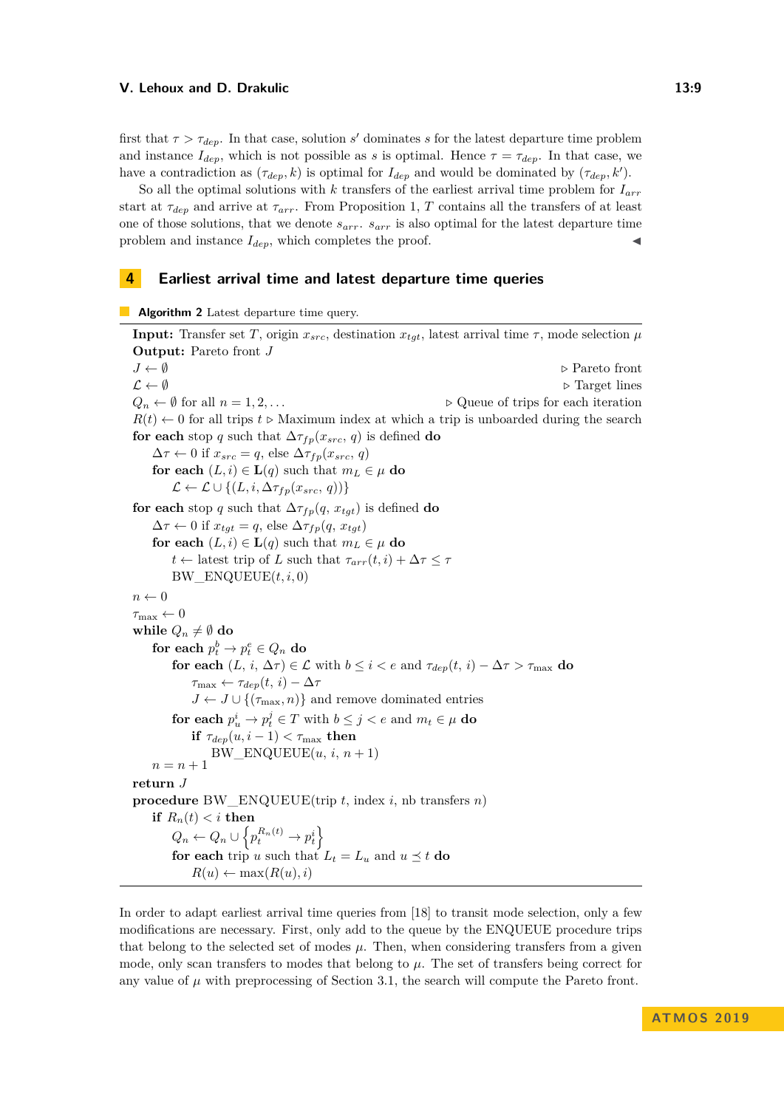first that  $\tau > \tau_{dep}$ . In that case, solution *s'* dominates *s* for the latest departure time problem and instance  $I_{dep}$ , which is not possible as *s* is optimal. Hence  $\tau = \tau_{dep}$ . In that case, we have a contradiction as  $(\tau_{dep}, k)$  is optimal for  $I_{dep}$  and would be dominated by  $(\tau_{dep}, k')$ .

So all the optimal solutions with *k* transfers of the earliest arrival time problem for *Iarr* start at  $\tau_{dep}$  and arrive at  $\tau_{arr}$ . From Proposition [1,](#page-6-1) *T* contains all the transfers of at least one of those solutions, that we denote *sarr*. *sarr* is also optimal for the latest departure time problem and instance  $I_{dep}$ , which completes the proof.

## <span id="page-8-0"></span>**4 Earliest arrival time and latest departure time queries**

<span id="page-8-1"></span>**Algorithm 2** Latest departure time query.

**Input:** Transfer set *T*, origin  $x_{src}$ , destination  $x_{tgt}$ , latest arrival time  $\tau$ , mode selection  $\mu$ **Output:** Pareto front *J J* ← Ø *D* Pareto front  $\mathcal{L} \leftarrow \emptyset$  **b** Target lines  $Q_n \leftarrow \emptyset$  for all  $n = 1, 2, \ldots$  ...  $R(t) \leftarrow 0$  for all trips  $t \triangleright$  Maximum index at which a trip is unboarded during the search **for each** stop *q* such that  $\Delta \tau_{fp}(x_{src}, q)$  is defined **do**  $\Delta \tau \leftarrow 0$  if  $x_{src} = q$ , else  $\Delta \tau_{fp}(x_{src}, q)$ **for each**  $(L, i) \in L(q)$  such that  $m_L \in \mu$  **do**  $\mathcal{L} \leftarrow \mathcal{L} \cup \{(L, i, \Delta \tau_{fp}(x_{src}, q))\}$ **for each** stop *q* such that  $\Delta \tau_{fp}(q, x_{tgt})$  is defined **do**  $\Delta \tau \leftarrow 0$  if  $x_{tqt} = q$ , else  $\Delta \tau_{fp}(q, x_{tqt})$ **for each**  $(L, i) \in L(q)$  such that  $m_L \in \mu$  **do** *t* ← latest trip of *L* such that  $\tau_{arr}(t, i) + \Delta \tau \leq \tau$ BW\_ENQUEUE(*t, i,* 0)  $n \leftarrow 0$  $\tau_{\max} \leftarrow 0$ **while**  $Q_n \neq \emptyset$  do  $\textbf{for each}~p_t^b\to p_t^e\in Q_n~\textbf{do}$ **for each**  $(L, i, \Delta \tau) \in \mathcal{L}$  with  $b \leq i < e$  and  $\tau_{dep}(t, i) - \Delta \tau > \tau_{max}$  **do**  $\tau_{\text{max}} \leftarrow \tau_{dep}(t, i) - \Delta \tau$  $J \leftarrow J \cup \{(\tau_{\text{max}}, n)\}\$ and remove dominated entries **for each**  $p_u^i \to p_t^j \in T$  with  $b \leq j < e$  and  $m_t \in \mu$  **do if**  $\tau_{dep}(u, i-1) < \tau_{\text{max}}$  **then**  $BW\_ENQUEUE(u, i, n + 1)$  $n = n + 1$ **return** *J* **procedure** BW\_ENQUEUE(trip *t*, index *i*, nb transfers *n*) **if**  $R_n(t) < i$  **then**  $Q_n \leftarrow Q_n \cup \left\{ p_t^{R_n(t)} \rightarrow p_t^i \right\}$ **for each** trip *u* such that  $L_t = L_u$  and  $u \leq t$  **do**  $R(u) \leftarrow \max(R(u), i)$ 

In order to adapt earliest arrival time queries from [\[18\]](#page-13-0) to transit mode selection, only a few modifications are necessary. First, only add to the queue by the ENQUEUE procedure trips that belong to the selected set of modes  $\mu$ . Then, when considering transfers from a given mode, only scan transfers to modes that belong to *µ*. The set of transfers being correct for any value of  $\mu$  with preprocessing of Section [3.1,](#page-5-1) the search will compute the Pareto front.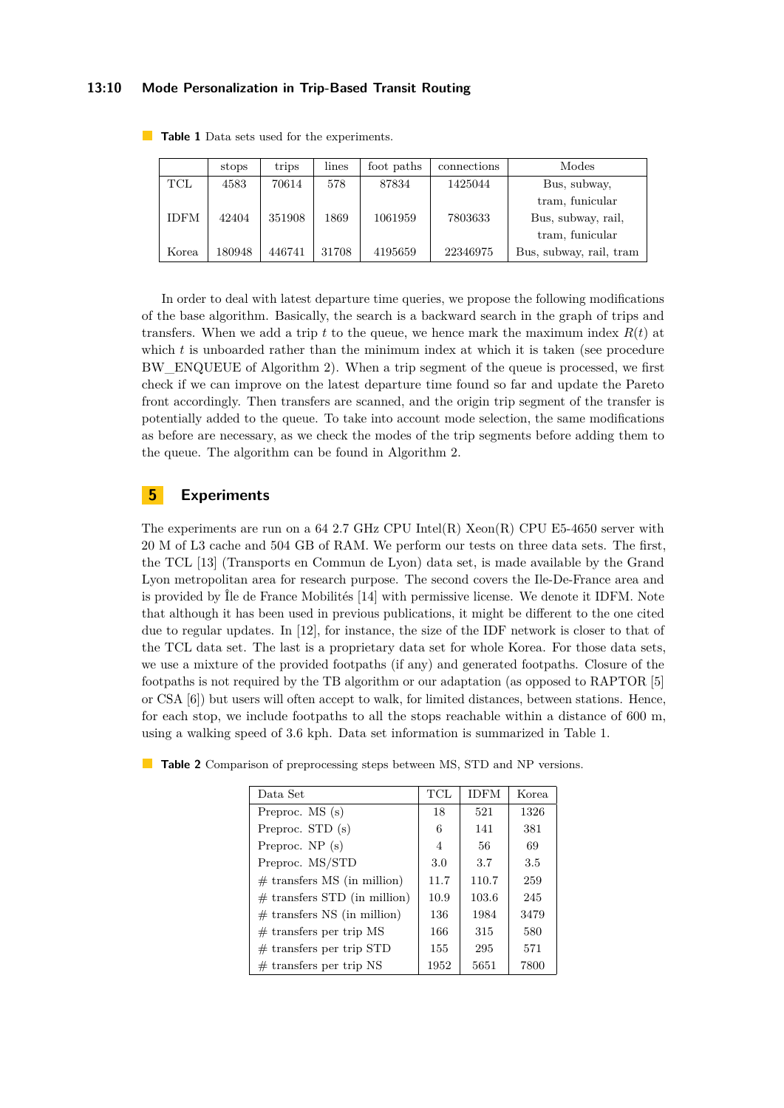### **13:10 Mode Personalization in Trip-Based Transit Routing**

|             | stops  | trips  | lines | foot paths | connections | Modes                   |
|-------------|--------|--------|-------|------------|-------------|-------------------------|
| $\rm{TCL}$  | 4583   | 70614  | 578   | 87834      | 1425044     | Bus, subway,            |
|             |        |        |       |            |             | tram, funicular         |
| <b>IDFM</b> | 42404  | 351908 | 1869  | 1061959    | 7803633     | Bus, subway, rail,      |
|             |        |        |       |            |             | tram, funicular         |
| Korea       | 180948 | 446741 | 31708 | 4195659    | 22346975    | Bus, subway, rail, tram |

<span id="page-9-0"></span>**Table 1** Data sets used for the experiments.

In order to deal with latest departure time queries, we propose the following modifications of the base algorithm. Basically, the search is a backward search in the graph of trips and transfers. When we add a trip  $t$  to the queue, we hence mark the maximum index  $R(t)$  at which *t* is unboarded rather than the minimum index at which it is taken (see procedure BW\_ENQUEUE of Algorithm [2\)](#page-8-1). When a trip segment of the queue is processed, we first check if we can improve on the latest departure time found so far and update the Pareto front accordingly. Then transfers are scanned, and the origin trip segment of the transfer is potentially added to the queue. To take into account mode selection, the same modifications as before are necessary, as we check the modes of the trip segments before adding them to the queue. The algorithm can be found in Algorithm [2.](#page-8-1)

# **5 Experiments**

The experiments are run on a 64 2.7 GHz CPU Intel(R)  $Xeon(R)$  CPU E5-4650 server with 20 M of L3 cache and 504 GB of RAM. We perform our tests on three data sets. The first, the TCL [\[13\]](#page-12-13) (Transports en Commun de Lyon) data set, is made available by the Grand Lyon metropolitan area for research purpose. The second covers the Ile-De-France area and is provided by Île de France Mobilités [\[14\]](#page-12-14) with permissive license. We denote it IDFM. Note that although it has been used in previous publications, it might be different to the one cited due to regular updates. In [\[12\]](#page-12-7), for instance, the size of the IDF network is closer to that of the TCL data set. The last is a proprietary data set for whole Korea. For those data sets, we use a mixture of the provided footpaths (if any) and generated footpaths. Closure of the footpaths is not required by the TB algorithm or our adaptation (as opposed to RAPTOR [\[5\]](#page-12-2) or CSA [\[6\]](#page-12-3)) but users will often accept to walk, for limited distances, between stations. Hence, for each stop, we include footpaths to all the stops reachable within a distance of 600 m, using a walking speed of 3.6 kph. Data set information is summarized in Table [1.](#page-9-0)

| Data Set                       | TCL  | <b>IDFM</b> | <b>Korea</b> |
|--------------------------------|------|-------------|--------------|
| Preproc. MS (s)                | 18   | 521         | 1326         |
| Preproc. STD (s)               | 6    | 141         | 381          |
| Preproc. $NP(s)$               | 4    | 56          | 69           |
| Preproc. MS/STD                | 3.0  | 3.7         | 3.5          |
| $#$ transfers MS (in million)  | 11.7 | 110.7       | 259          |
| $#$ transfers STD (in million) | 10.9 | 103.6       | 245          |
| $#$ transfers NS (in million)  | 136  | 1984        | 3479         |
| $#$ transfers per trip MS      | 166  | 315         | 580          |
| $#$ transfers per trip STD     | 155  | 295         | 571          |
| $#$ transfers per trip NS      | 1952 | 5651        | 7800         |

<span id="page-9-1"></span>

|  |  |  |  |  |  |  |  |  |  |  |  |  |  | Table 2 Comparison of preprocessing steps between MS, STD and NP versions. |
|--|--|--|--|--|--|--|--|--|--|--|--|--|--|----------------------------------------------------------------------------|
|--|--|--|--|--|--|--|--|--|--|--|--|--|--|----------------------------------------------------------------------------|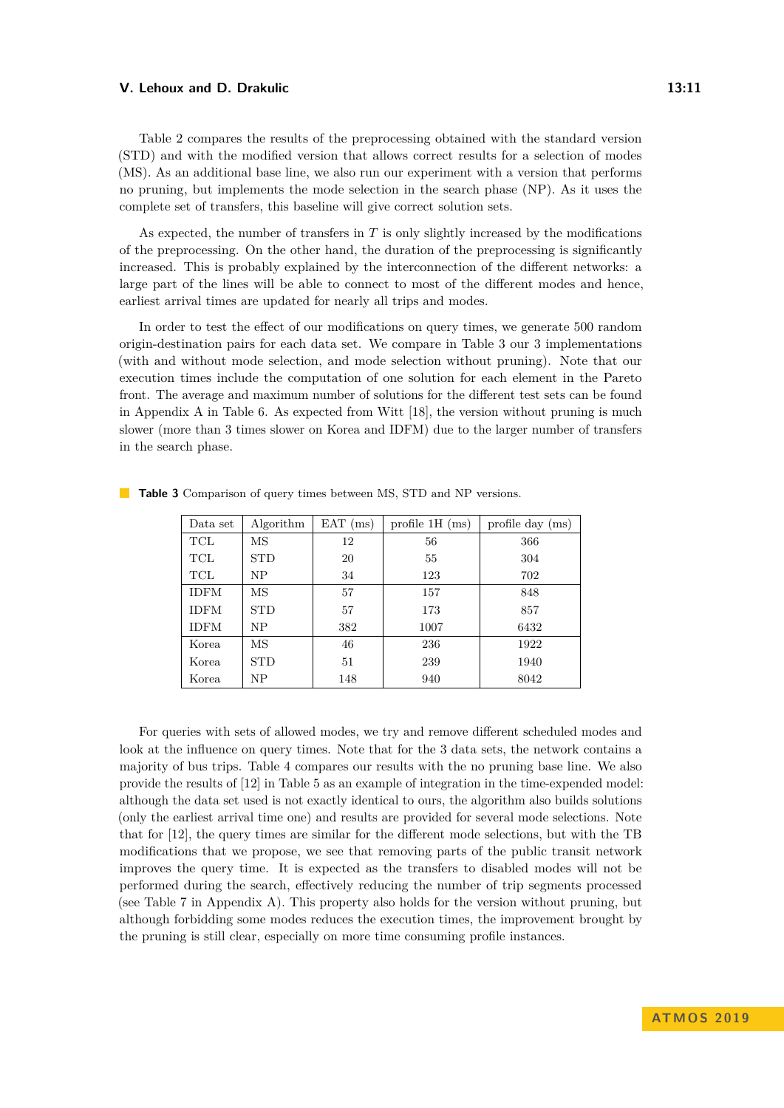Table [2](#page-9-1) compares the results of the preprocessing obtained with the standard version (STD) and with the modified version that allows correct results for a selection of modes (MS). As an additional base line, we also run our experiment with a version that performs no pruning, but implements the mode selection in the search phase (NP). As it uses the complete set of transfers, this baseline will give correct solution sets.

As expected, the number of transfers in *T* is only slightly increased by the modifications of the preprocessing. On the other hand, the duration of the preprocessing is significantly increased. This is probably explained by the interconnection of the different networks: a large part of the lines will be able to connect to most of the different modes and hence, earliest arrival times are updated for nearly all trips and modes.

In order to test the effect of our modifications on query times, we generate 500 random origin-destination pairs for each data set. We compare in Table [3](#page-10-0) our 3 implementations (with and without mode selection, and mode selection without pruning). Note that our execution times include the computation of one solution for each element in the Pareto front. The average and maximum number of solutions for the different test sets can be found in Appendix [A](#page-13-3) in Table [6.](#page-13-4) As expected from Witt [\[18\]](#page-13-0), the version without pruning is much slower (more than 3 times slower on Korea and IDFM) due to the larger number of transfers in the search phase.

| Data set    | Algorithm           | $EAT$ (ms) | profile $1H$ (ms) | profile day (ms) |
|-------------|---------------------|------------|-------------------|------------------|
| TCL         | $\overline{\rm MS}$ | 12         | 56                | 366              |
| TCL         | <b>STD</b>          | 20         | 55                | 304              |
| TCL         | NP                  | 34         | 123               | 702              |
| <b>IDFM</b> | $\overline{\rm MS}$ | 57         | 157               | 848              |
| <b>IDFM</b> | <b>STD</b>          | 57         | 173               | 857              |
| <b>IDFM</b> | NP                  | 382        | 1007              | 6432             |
| Korea       | $\overline{\rm MS}$ | 46         | 236               | 1922             |
| Korea.      | <b>STD</b>          | 51         | 239               | 1940             |
| Korea.      | NP.                 | 148        | 940               | 8042             |

<span id="page-10-0"></span>**Table 3** Comparison of query times between MS, STD and NP versions.

For queries with sets of allowed modes, we try and remove different scheduled modes and look at the influence on query times. Note that for the 3 data sets, the network contains a majority of bus trips. Table [4](#page-11-0) compares our results with the no pruning base line. We also provide the results of [\[12\]](#page-12-7) in Table [5](#page-11-1) as an example of integration in the time-expended model: although the data set used is not exactly identical to ours, the algorithm also builds solutions (only the earliest arrival time one) and results are provided for several mode selections. Note that for [\[12\]](#page-12-7), the query times are similar for the different mode selections, but with the TB modifications that we propose, we see that removing parts of the public transit network improves the query time. It is expected as the transfers to disabled modes will not be performed during the search, effectively reducing the number of trip segments processed (see Table [7](#page-14-1) in Appendix [A\)](#page-13-3). This property also holds for the version without pruning, but although forbidding some modes reduces the execution times, the improvement brought by the pruning is still clear, especially on more time consuming profile instances.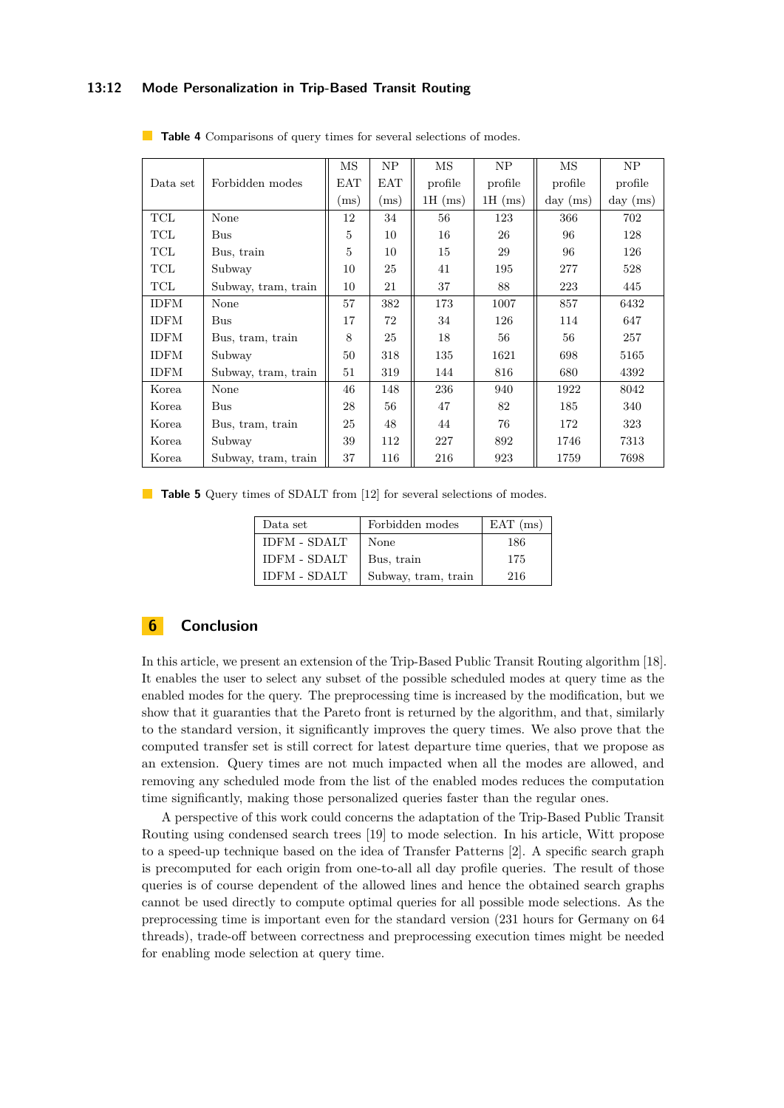### **13:12 Mode Personalization in Trip-Based Transit Routing**

|             |                     | $\overline{\rm MS}$ | NP         | MS        | NP        | MS         | NP         |
|-------------|---------------------|---------------------|------------|-----------|-----------|------------|------------|
| Data set    | Forbidden modes     | <b>EAT</b>          | <b>EAT</b> | profile   | profile   | profile    | profile    |
|             |                     | (ms)                | (ms)       | $1H$ (ms) | $1H$ (ms) | $day$ (ms) | $day$ (ms) |
| TCL         | None                | 12                  | 34         | 56        | 123       | 366        | 702        |
| TCL         | Bus                 | 5                   | 10         | 16        | 26        | 96         | 128        |
| TCL         | Bus, train          | 5                   | 10         | 15        | 29        | 96         | 126        |
| TCL         | Subway              | 10                  | 25         | 41        | 195       | 277        | 528        |
| TCL         | Subway, tram, train | 10                  | 21         | 37        | 88        | 223        | 445        |
| <b>IDFM</b> | None                | 57                  | 382        | 173       | 1007      | 857        | 6432       |
| <b>IDFM</b> | <b>Bus</b>          | 17                  | 72         | 34        | 126       | 114        | 647        |
| <b>IDFM</b> | Bus, tram, train    | 8                   | 25         | 18        | 56        | 56         | 257        |
| <b>IDFM</b> | Subway              | 50                  | 318        | 135       | 1621      | 698        | 5165       |
| <b>IDFM</b> | Subway, tram, train | 51                  | 319        | 144       | 816       | 680        | 4392       |
| Korea       | None                | 46                  | 148        | 236       | 940       | 1922       | 8042       |
| Korea       | <b>Bus</b>          | 28                  | 56         | 47        | 82        | 185        | 340        |
| Korea       | Bus, tram, train    | 25                  | 48         | 44        | 76        | 172        | 323        |
| Korea       | Subway              | 39                  | 112        | 227       | 892       | 1746       | 7313       |
| Korea       | Subway, tram, train | 37                  | 116        | 216       | 923       | 1759       | 7698       |

<span id="page-11-0"></span>**Table 4** Comparisons of query times for several selections of modes.

<span id="page-11-1"></span>**Table 5** Query times of SDALT from [\[12\]](#page-12-7) for several selections of modes.

| Data set            | Forbidden modes     | $EAT$ (ms) |
|---------------------|---------------------|------------|
| <b>IDFM - SDALT</b> | None                | 186        |
| <b>IDFM - SDALT</b> | Bus, train          | 175        |
| <b>IDFM - SDALT</b> | Subway, tram, train | 216        |

# **6 Conclusion**

In this article, we present an extension of the Trip-Based Public Transit Routing algorithm [\[18\]](#page-13-0). It enables the user to select any subset of the possible scheduled modes at query time as the enabled modes for the query. The preprocessing time is increased by the modification, but we show that it guaranties that the Pareto front is returned by the algorithm, and that, similarly to the standard version, it significantly improves the query times. We also prove that the computed transfer set is still correct for latest departure time queries, that we propose as an extension. Query times are not much impacted when all the modes are allowed, and removing any scheduled mode from the list of the enabled modes reduces the computation time significantly, making those personalized queries faster than the regular ones.

A perspective of this work could concerns the adaptation of the Trip-Based Public Transit Routing using condensed search trees [\[19\]](#page-13-5) to mode selection. In his article, Witt propose to a speed-up technique based on the idea of Transfer Patterns [\[2\]](#page-12-1). A specific search graph is precomputed for each origin from one-to-all all day profile queries. The result of those queries is of course dependent of the allowed lines and hence the obtained search graphs cannot be used directly to compute optimal queries for all possible mode selections. As the preprocessing time is important even for the standard version (231 hours for Germany on 64 threads), trade-off between correctness and preprocessing execution times might be needed for enabling mode selection at query time.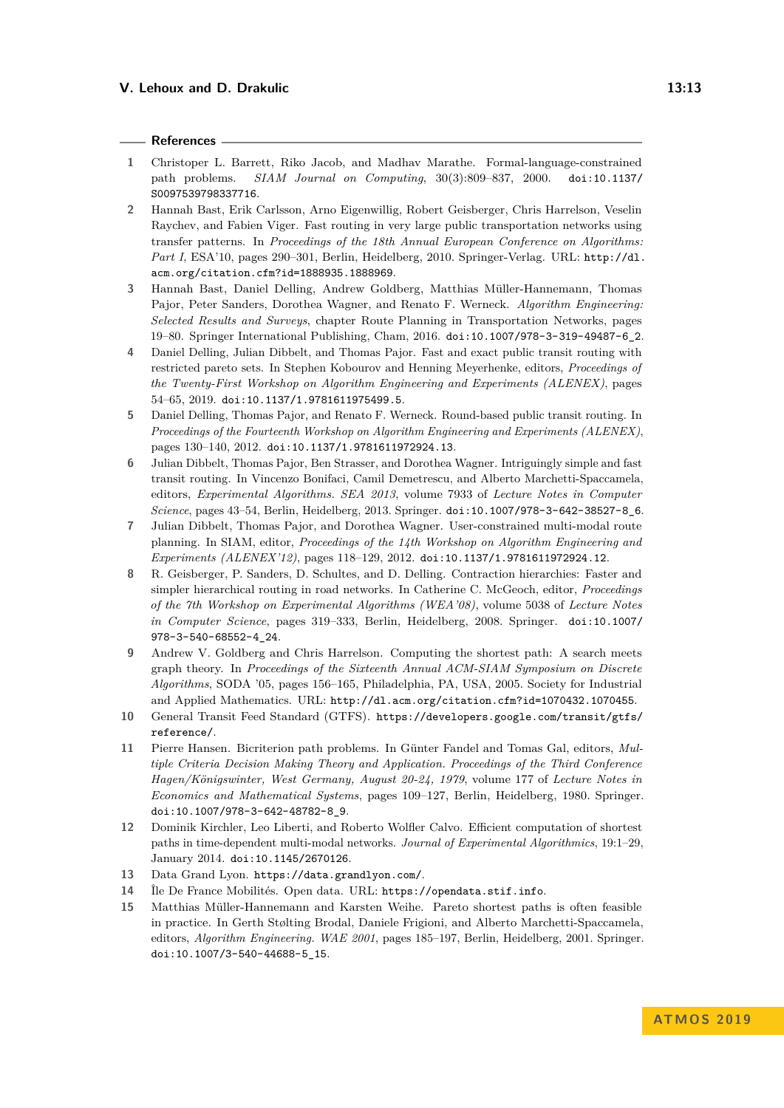#### **References**

- <span id="page-12-8"></span>**1** Christoper L. Barrett, Riko Jacob, and Madhav Marathe. Formal-language-constrained path problems. *SIAM Journal on Computing*, 30(3):809–837, 2000. [doi:10.1137/](https://doi.org/10.1137/S0097539798337716) [S0097539798337716](https://doi.org/10.1137/S0097539798337716).
- <span id="page-12-1"></span>**2** Hannah Bast, Erik Carlsson, Arno Eigenwillig, Robert Geisberger, Chris Harrelson, Veselin Raychev, and Fabien Viger. Fast routing in very large public transportation networks using transfer patterns. In *Proceedings of the 18th Annual European Conference on Algorithms: Part I*, ESA'10, pages 290–301, Berlin, Heidelberg, 2010. Springer-Verlag. URL: [http://dl.](http://dl.acm.org/citation.cfm?id=1888935.1888969) [acm.org/citation.cfm?id=1888935.1888969](http://dl.acm.org/citation.cfm?id=1888935.1888969).
- <span id="page-12-0"></span>**3** Hannah Bast, Daniel Delling, Andrew Goldberg, Matthias Müller-Hannemann, Thomas Pajor, Peter Sanders, Dorothea Wagner, and Renato F. Werneck. *Algorithm Engineering: Selected Results and Surveys*, chapter Route Planning in Transportation Networks, pages 19–80. Springer International Publishing, Cham, 2016. [doi:10.1007/978-3-319-49487-6\\_2](https://doi.org/10.1007/978-3-319-49487-6_2).
- <span id="page-12-12"></span>**4** Daniel Delling, Julian Dibbelt, and Thomas Pajor. Fast and exact public transit routing with restricted pareto sets. In Stephen Kobourov and Henning Meyerhenke, editors, *Proceedings of the Twenty-First Workshop on Algorithm Engineering and Experiments (ALENEX)*, pages 54–65, 2019. [doi:10.1137/1.9781611975499.5](https://doi.org/10.1137/1.9781611975499.5).
- <span id="page-12-2"></span>**5** Daniel Delling, Thomas Pajor, and Renato F. Werneck. Round-based public transit routing. In *Proceedings of the Fourteenth Workshop on Algorithm Engineering and Experiments (ALENEX)*, pages 130–140, 2012. [doi:10.1137/1.9781611972924.13](https://doi.org/10.1137/1.9781611972924.13).
- <span id="page-12-3"></span>**6** Julian Dibbelt, Thomas Pajor, Ben Strasser, and Dorothea Wagner. Intriguingly simple and fast transit routing. In Vincenzo Bonifaci, Camil Demetrescu, and Alberto Marchetti-Spaccamela, editors, *Experimental Algorithms. SEA 2013*, volume 7933 of *Lecture Notes in Computer Science*, pages 43–54, Berlin, Heidelberg, 2013. Springer. [doi:10.1007/978-3-642-38527-8\\_6](https://doi.org/10.1007/978-3-642-38527-8_6).
- <span id="page-12-10"></span>**7** Julian Dibbelt, Thomas Pajor, and Dorothea Wagner. User-constrained multi-modal route planning. In SIAM, editor, *Proceedings of the 14th Workshop on Algorithm Engineering and Experiments (ALENEX'12)*, pages 118–129, 2012. [doi:10.1137/1.9781611972924.12](https://doi.org/10.1137/1.9781611972924.12).
- <span id="page-12-11"></span>**8** R. Geisberger, P. Sanders, D. Schultes, and D. Delling. Contraction hierarchies: Faster and simpler hierarchical routing in road networks. In Catherine C. McGeoch, editor, *Proceedings of the 7th Workshop on Experimental Algorithms (WEA'08)*, volume 5038 of *Lecture Notes in Computer Science*, pages 319–333, Berlin, Heidelberg, 2008. Springer. [doi:10.1007/](https://doi.org/10.1007/978-3-540-68552-4_24) [978-3-540-68552-4\\_24](https://doi.org/10.1007/978-3-540-68552-4_24).
- <span id="page-12-9"></span>**9** Andrew V. Goldberg and Chris Harrelson. Computing the shortest path: A search meets graph theory. In *Proceedings of the Sixteenth Annual ACM-SIAM Symposium on Discrete Algorithms*, SODA '05, pages 156–165, Philadelphia, PA, USA, 2005. Society for Industrial and Applied Mathematics. URL: <http://dl.acm.org/citation.cfm?id=1070432.1070455>.
- <span id="page-12-6"></span>**10** General Transit Feed Standard (GTFS). [https://developers.google.com/transit/gtfs/](https://developers.google.com/transit/gtfs/reference/) [reference/](https://developers.google.com/transit/gtfs/reference/).
- <span id="page-12-4"></span>**11** Pierre Hansen. Bicriterion path problems. In Günter Fandel and Tomas Gal, editors, *Multiple Criteria Decision Making Theory and Application. Proceedings of the Third Conference Hagen/Königswinter, West Germany, August 20-24, 1979*, volume 177 of *Lecture Notes in Economics and Mathematical Systems*, pages 109–127, Berlin, Heidelberg, 1980. Springer. [doi:10.1007/978-3-642-48782-8\\_9](https://doi.org/10.1007/978-3-642-48782-8_9).
- <span id="page-12-7"></span>**12** Dominik Kirchler, Leo Liberti, and Roberto Wolfler Calvo. Efficient computation of shortest paths in time-dependent multi-modal networks. *Journal of Experimental Algorithmics*, 19:1–29, January 2014. [doi:10.1145/2670126](https://doi.org/10.1145/2670126).
- <span id="page-12-13"></span>**13** Data Grand Lyon. <https://data.grandlyon.com/>.
- <span id="page-12-14"></span>**14** Île De France Mobilités. Open data. URL: <https://opendata.stif.info>.
- <span id="page-12-5"></span>**15** Matthias Müller-Hannemann and Karsten Weihe. Pareto shortest paths is often feasible in practice. In Gerth Stølting Brodal, Daniele Frigioni, and Alberto Marchetti-Spaccamela, editors, *Algorithm Engineering. WAE 2001*, pages 185–197, Berlin, Heidelberg, 2001. Springer. [doi:10.1007/3-540-44688-5\\_15](https://doi.org/10.1007/3-540-44688-5_15).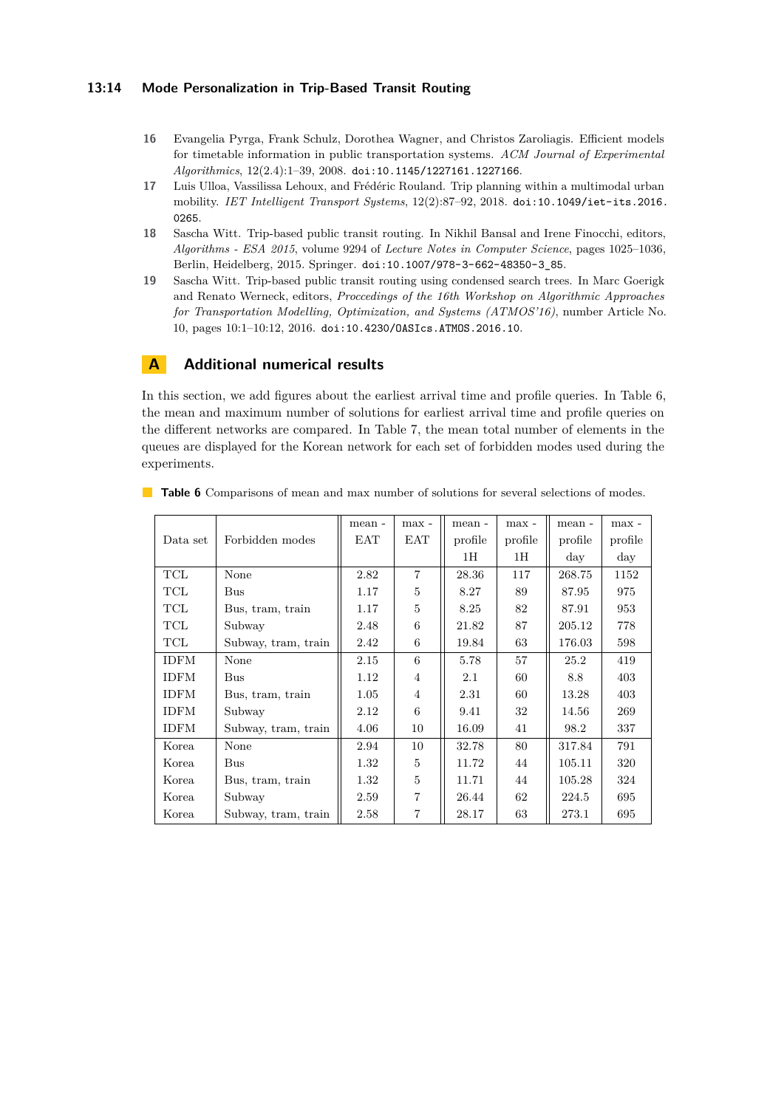## **13:14 Mode Personalization in Trip-Based Transit Routing**

- <span id="page-13-1"></span>**16** Evangelia Pyrga, Frank Schulz, Dorothea Wagner, and Christos Zaroliagis. Efficient models for timetable information in public transportation systems. *ACM Journal of Experimental Algorithmics*, 12(2.4):1–39, 2008. [doi:10.1145/1227161.1227166](https://doi.org/10.1145/1227161.1227166).
- <span id="page-13-2"></span>**17** Luis Ulloa, Vassilissa Lehoux, and Frédéric Rouland. Trip planning within a multimodal urban mobility. *IET Intelligent Transport Systems*, 12(2):87–92, 2018. [doi:10.1049/iet-its.2016.](https://doi.org/10.1049/iet-its.2016.0265) [0265](https://doi.org/10.1049/iet-its.2016.0265).
- <span id="page-13-0"></span>**18** Sascha Witt. Trip-based public transit routing. In Nikhil Bansal and Irene Finocchi, editors, *Algorithms - ESA 2015*, volume 9294 of *Lecture Notes in Computer Science*, pages 1025–1036, Berlin, Heidelberg, 2015. Springer. [doi:10.1007/978-3-662-48350-3\\_85](https://doi.org/10.1007/978-3-662-48350-3_85).
- <span id="page-13-5"></span>**19** Sascha Witt. Trip-based public transit routing using condensed search trees. In Marc Goerigk and Renato Werneck, editors, *Proccedings of the 16th Workshop on Algorithmic Approaches for Transportation Modelling, Optimization, and Systems (ATMOS'16)*, number Article No. 10, pages 10:1–10:12, 2016. [doi:10.4230/OASIcs.ATMOS.2016.10](https://doi.org/10.4230/OASIcs.ATMOS.2016.10).

# <span id="page-13-3"></span>**A Additional numerical results**

In this section, we add figures about the earliest arrival time and profile queries. In Table [6,](#page-13-4) the mean and maximum number of solutions for earliest arrival time and profile queries on the different networks are compared. In Table [7,](#page-14-1) the mean total number of elements in the queues are displayed for the Korean network for each set of forbidden modes used during the experiments.

|             |                     | mean - | max -          | mean -  | max -   | mean -     | max -      |
|-------------|---------------------|--------|----------------|---------|---------|------------|------------|
| Data set    | Forbidden modes     | EAT    | EAT            | profile | profile | profile    | profile    |
|             |                     |        |                | 1H      | 1H      | $\rm{day}$ | $\rm{day}$ |
| TCL         | None                | 2.82   | $\overline{7}$ | 28.36   | 117     | 268.75     | 1152       |
| TCL         | Bus                 | 1.17   | 5              | 8.27    | 89      | 87.95      | 975        |
| TCL         | Bus, tram, train    | 1.17   | 5              | 8.25    | 82      | 87.91      | 953        |
| TCL         | Subway              | 2.48   | 6              | 21.82   | 87      | 205.12     | 778        |
| TCL         | Subway, tram, train | 2.42   | 6              | 19.84   | 63      | 176.03     | 598        |
| <b>IDFM</b> | None                | 2.15   | 6              | 5.78    | 57      | 25.2       | 419        |
| <b>IDFM</b> | Bus                 | 1.12   | $\overline{4}$ | 2.1     | 60      | 8.8        | 403        |
| <b>IDFM</b> | Bus, tram, train    | 1.05   | $\overline{4}$ | 2.31    | 60      | 13.28      | 403        |
| <b>IDFM</b> | Subway              | 2.12   | 6              | 9.41    | 32      | 14.56      | 269        |
| <b>IDFM</b> | Subway, tram, train | 4.06   | 10             | 16.09   | 41      | 98.2       | 337        |
| Korea       | None                | 2.94   | 10             | 32.78   | 80      | 317.84     | 791        |
| Korea       | Bus                 | 1.32   | 5              | 11.72   | 44      | 105.11     | 320        |
| Korea       | Bus, tram, train    | 1.32   | 5              | 11.71   | 44      | 105.28     | 324        |
| Korea       | Subway              | 2.59   | 7              | 26.44   | 62      | 224.5      | 695        |
| Korea       | Subway, tram, train | 2.58   | 7              | 28.17   | 63      | 273.1      | 695        |

<span id="page-13-4"></span>**Table 6** Comparisons of mean and max number of solutions for several selections of modes.